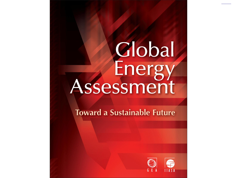# Global<br>Energy<br>Assessment

**Toward a Sustainable Future** 

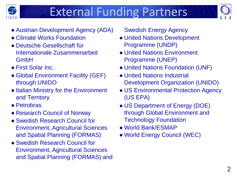

### External Funding Partners



- Austrian Development Agency (ADA)
- Climate Works Foundation
- Deutsche Gesellschaft für Internationale Zusammenarbeit GmbH
- First Solar Inc.
- Global Environment Facility (GEF) through UNIDO
- Italian Ministry for the Environment and Territory
- Petrobras
- Research Council of Norway
- Swedish Research Council for Environment, Agricultural Sciences and Spatial Planning (FORMAS)
- Swedish Research Council for Environment, Agricultural Sciences and Spatial Planning (FORMAS) and

Swedish Energy Agency

- United Nations Development Programme (UNDP)
- United Nations Environment Programme (UNEP)
- United Nations Foundation (UNF)
- United Nations Industrial Development Organization (UNIDO)
- US Environmental Protection Agency (US EPA)
- US Department of Energy (DOE) through Global Environment and Technology Foundation
- World Bank/ESMAP
- World Energy Council (WEC)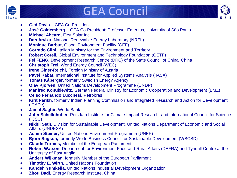

### GEA Council



- **Ged Davis** GEA Co-President
- **José Goldemberg**  GEA Co-President; Professor Emeritus, University of São Paulo
- **Michael Ahearn,** First Solar Inc.
- **Dan Arvizu, National Renewable Energy Laboratory (NREL)**
- **Monique Barbut,** Global Environment Facility (GEF)
- **Corrado Clini, Italian Ministry for the Environment and Territory**
- **Robert Corell,** Global Environment and Technology Foundation (GETF)
- **Fei FENG, Development Research Centre (DRC) of the State Council of China, China**
- **Christoph Frei,** World Energy Council (WEC)
- **Irene Giner-Reichl, Foreign Ministry of Austria**
- **Pavel Kabat,** International Institute for Applied Systems Analysis (IIASA)
- **Tomas Kåberger, formerly Swedish Energy Agency**
- **Olav Kjørven,** United Nations Development Programme (UNDP)
- **Manfred Konukiewitz, German Federal Ministry for Economic Cooperation and Development (BMZ)**
- **Celso Fernando Lucchesi,** Petrobras
- **Kirit Parikh,** formerly Indian Planning Commission and Integrated Research and Action for Development (IRADe)
- **Jamal Saghir,** World Bank
- **John Schellnhuber,** Potsdam Institute for Climate Impact Research; and International Council for Science (ICSU)
- **Nikhil Seth,** Division for Sustainable Development, United Nations Department of Economic and Social Affairs (UNDESA)
- **Achim Steiner,** United Nations Environment Programme (UNEP)
- **Björn Stigson,** formerly World Business Council for Sustainable Development (WBCSD)
- **Claude Turmes,** Member of the European Parliament
- **Robert Watson,** Department for Environment Food and Rural Affairs (DEFRA) and Tyndall Centre at the University of East Anglia
- **Anders Wijkman,** formerly Member of the European Parliament
- **Timothy E. Wirth,** United Nations Foundation
- **Kandeh Yumkella,** United Nations Industrial Development Organization
- **Zhou Dadi,** Energy Research Institute, China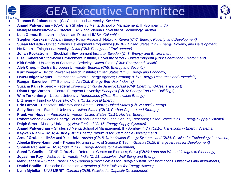

### GEA Executive Committee



- **Thomas B. Johansson**  (Co-Chair) Lund University; *Sweden*
- **Anand Patwardhan**  (Co-Chair) Shailesh J Mehta School of Management, IIT-Bombay; *India*
- **Nebojsa Nakicenovic**  (Director) IIASA and Vienna University of Technology; *Austria*
- **Luis Gomez-Echeverri**  (Associate Director) IIASA; *Colombia*
- **Stephen Karekezi**  African Energy Policy Research Network; *Kenya (Ch2: Energy, Poverty, and Development)*
- **Susan McDade** *-* United Nations Development Programme (UNDP); *United States (Ch2: Energy, Poverty, and Development)*
- **He Kebin**  Tsinghua University; *China (Ch3: Energy and Environment)*
- **Johan Rockström**  Stockholm Environment Institute; *Sweden (Ch3: Energy and Environment)*
- **Lisa Emberson** Stockholm Environment Institute, University of York, *United Kingdom (Ch3: Energy and Environment)*
- **Kirk Smith**  University of California, Berkeley; *United States (Ch4: Energy and Health)*
- **Aleh Cherp**  Central European University; *Belarus (Ch5: Energy and Security)*
- **Kurt Yeager** Electric Power Research Institute; *United States (Ch 6: Energy and Economy)*
- **Hans-Holger Rogner**  International Atomic Energy Agency; *Germany (Ch7: Energy Resources and Potentials)*
- **Rangan Banerjee**  ITT Bombay; *India (Ch8: Energy End-Use: Industry)*
- **Suzana Kahn Ribeiro**  Federal University of Rio de Janeiro; *Brazil (Ch9: Energy End-Use: Transport)*
- **Diana Urge-Vorsatz**  Central European University; *Budapest (Ch10: Energy End-Use: Buildings)*
- **Wim Turkenburg**  Utrecht University; *Netherlands (Ch11: Renewable Energy)*
- **Li Zheng**  Tsinghua University; *China (Ch12: Fossil Energy)*
- **Eric Larson**  Princeton University and Climate Central; *United States (Ch12: Fossil Energy)*
- **Sally Benson**  Stanford University; *United States (Ch13: Carbon Capture and Storage)*
- **Frank von Hippel** Princeton University; *United States (Ch14: Nuclear Energy)*
- **Robert Schock**  World Energy Council and Center for Global Security Research; *United States (Ch15: Energy Supply Systems)*
- **Ralph Sims**  Massey University; *New Zealand (Ch15: Energy Supply Systems)*
- **Anand Patwardhan**  Shailesh J Mehta School of Management, IIT-Bombay; *India (Ch16: Transitions in Energy Systems)*
- **Keywan Riahi**  IIASA*; Austria (Ch17: Energy Pathways for Sustainable Development)*
- **Arnulf Grubler**  IIASA and Yale Univ.; *Austria (Ch18: Urbanization Energy Systems; and Ch24: Policies for Technology Innovation)*
- **Abeeku Brew-Hammond**  Kwame Nkrumah Univ. of Science & Tech.; *Ghana (Ch19: Energy Access for Development)*
- **Shonali Pachauri**  IIASA; *India (Ch19: Energy Access for Development)*
- **Suani T. Coelho** CENBIO-Brazilian Reference Center on Biomass; *Brazil (Ch20: Land and Water: Linkages to Bioenergy)*
- **Joyashree Roy** Jadavpur University; *India (Ch21: Lifestyles, Well Being and Energy)*
- **Mark Jaccard**  Simon Fraser Univ.; *Canada (Ch22: Policies for Energy System Transformations: Objectives and Instruments)*
- **Daniel Bouille** Bariloche Foundation; *Argentina (Ch23: Policies for Energy Access)*
- **Lynn Mytelka** UNU-MERIT; *Canada (Ch25: Policies for Capacity Development)*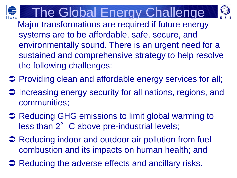



Major transformations are required if future energy systems are to be affordable, safe, secure, and environmentally sound. There is an urgent need for a sustained and comprehensive strategy to help resolve the following challenges:

- **→ Providing clean and affordable energy services for all;**
- Increasing energy security for all nations, regions, and communities;
- **→ Reducing GHG emissions to limit global warming to** less than 2° C above pre-industrial levels;
- **→ Reducing indoor and outdoor air pollution from fuel** combustion and its impacts on human health; and
- **→ Reducing the adverse effects and ancillary risks.**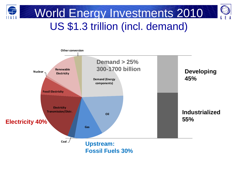

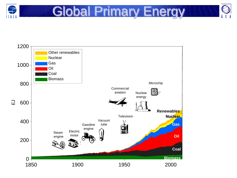

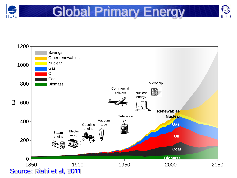

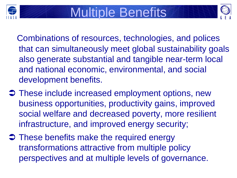



Combinations of resources, technologies, and polices that can simultaneously meet global sustainability goals also generate substantial and tangible near-term local and national economic, environmental, and social development benefits.

- **→ These include increased employment options, new** business opportunities, productivity gains, improved social welfare and decreased poverty, more resilient infrastructure, and improved energy security;
- $\supset$  These benefits make the required energy transformations attractive from multiple policy perspectives and at multiple levels of governance.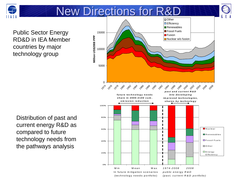

Distribution of past and

compared to future technology needs from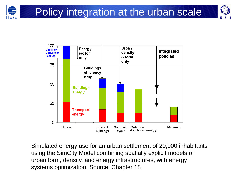



Simulated energy use for an urban settlement of 20,000 inhabitants using the SimCity Model combining spatially explicit models of urban form, density, and energy infrastructures, with energy systems optimization. Source: Chapter 18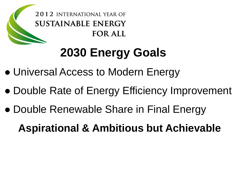

## **2030 Energy Goals**

- Universal Access to Modern Energy
- Double Rate of Energy Efficiency Improvement
- Double Renewable Share in Final Energy

**Aspirational & Ambitious but Achievable**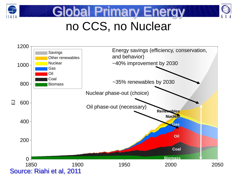





## no CCS, no Nuclear